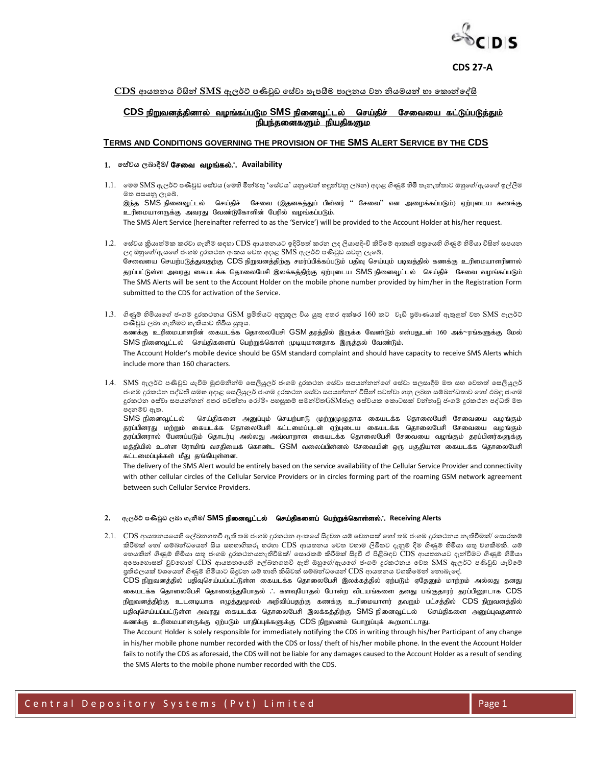

### <u>CDS ආයතනය විසින් SMS ඇලර්ට් පණිවුඩ සේවා සැපයීම පාලනය වන නියමයන් හා කොන්දේසි</u>

## <u>CDS நிறுவனத்தினால் வழங்கப்படும SMS நினைவூட்டல் செய்திச் சேவையை கட்டுப்படுத்தும் </u> நிபந்தனைகளும் நியதிகளும

### **TERMS AND CONDITIONS GOVERNING THE PROVISION OF THE SMS ALERT SERVICE BY THE CDS**

### $1.$  පස්වය ලබාදීම/ **சேவை வழங்கல்.**: Availability

- 1.1. මෙම SMS ඇලර්ට් පණිවුඩ සේවය (මෙහි මින්මතු 'සේවය' යනුවෙන් හඳුන්වනු ලබන) අදාළ ගිණුම් හිමි තැනැත්තාට ඔහුගේ/ඇයගේ ඉල්ලීම මත පසයනු ලැබේ. இந்த SMS நினைவூட்டல் செய்திச் சேவை (இதனகத்துப் பின்னர் " சேவை'' என அழைக்கப்படும்) ஏற்புடைய கணக்கு உரிமையாளருக்கு அவரது வேண்டுகோளின் பேரில் வழங்கப்படும். The SMS Alert Service (hereinafter referred to as the 'Service') will be provided to the Account Holder at his/her request.
- 1.2. සේවය කියාත්මක කරවා ගැනීම සදහා CDS ආයතනයට ඉදිරිපත් කරන ලද ලියාපදිංචි කිරීමේ ආකෘති පතුයෙහි ගිණුම් හිමියා විසින් සපයන ලද ඔහුගේ/ඇයගේ ජංගම දුරකථන අංකය වෙත අදාළ SMS ඇලර්ට් පණිවුඩ යවනු ලැබේ. சேவையை செயற்படுத்துவதற்கு CDS நிறுவனத்திற்கு சமர்ப்பிக்கப்படும் பதிவு செய்யும் படிவத்தில் கணக்கு உரிமையாளரினால் தரப்பட்டுள்ள அவரது கையடக்க தொலைபேசி இலக்கத்திற்கு ஏற்புடைய SMS நினைவூட்டல் செய்திச் சேவை வழங்கப்படும் The SMS Alerts will be sent to the Account Holder on the mobile phone number provided by him/her in the Registration Form submitted to the CDS for activation of the Service.
- 1.3. ගිණුම් හිමියාගේ ජංගම දුරකථනය GSM පුමිතියට අනුකූල විය යුතු අතර අක්ෂර 160 කට වැඩි පුමාණයක් ඇතුළත් වන SMS ඇලර්ට් පණිවුඩ ලබා ගැනීමට හැකියාව තිබිය යුතුය. கணக்கு உரிமையாளரின் கையடக்க தொலைபேசி GSM தரத்தில் இருக்க வேண்டும் என்பதுடன் 160 அக்~ரங்களுக்கு மேல் SMS நினைவூட்டல் செய்திகளைப் பெற்றுக்கொள் முடியுமானதாக இருத்தல் வேண்டும். The Account Holder's mobile device should be GSM standard complaint and should have capacity to receive SMS Alerts which include more than 160 characters.
- $1.4$ .  $\,$  SMS ඇලර්ට් පණිවුඩ යැවීම මුළුමනින්ම සෙලියුලර් ජංගම දුරකථන සේවා සපයන්නන්ගේ සේවා සලසාදීම මත සහ වෙනත් සෙලියුලර් ජංගම දුරකථන පද්ධති සමහ අදාළ සෙලියුලර් ජංගම දුරකථන සේවා සපයන්නන් විසින් පවත්වා ගනු ලබන සම්බන්ධතාව හෝ එබඳු ජංගම දුරකථන සේවා සපයන්නන් අතර පවත්නා රෝමිං පහසුකම් සමන්විත ${\rm GSM}$ ජාල සේවයක කොටසක් වන්නාවූ ජංගම දුරකථන පද්ධති මත පදනම්ව ඇත.

SMS நினைவூட்டல் செய்திகளை அனுப்பும் செயற்பாடு முற்றுமுழுதாக கையடக்க தொலைபேசி சேவையை வழங்கும் தரப்பினரது மற்றும் கையடக்க தொலைபேசி கட்டமைப்புடன் ஏற்புடைய கையடக்க தொலைபேசி சேவையை வழங்கும் தரப்பினரால் பேணப்படும் தொடர்பு அல்லது அவ்வாறான கையடக்க தொலைபேசி சேவையை வழங்கும் தரப்பினர்களுக்கு மத்தியில் உள்ள ரோமிங் வசதியைக் கொண்ட GSM வலைப்பின்னல் சேவையின் ஒரு பகுதியான கையடக்க தொலைபேசி கட்டமைப்புக்கள் மீது தங்கியுள்ளன.

The delivery of the SMS Alert would be entirely based on the service availability of the Cellular Service Provider and connectivity with other cellular circles of the Cellular Service Providers or in circles forming part of the roaming GSM network agreement between such Cellular Service Providers.

#### $2.$  ඇලර්ට් පණිවුඩ ලබා ගැනීම/ **SMS நினைவூட்டல் தெய்திகளைப் பெற்றுக்கொள்ளல்.**; Receiving Alerts

2.1. CDS ආයතනයයෙහි ලේඛනගතවී ඇති තම ජංගම දුරකථන අංකයේ සිදුවන යම් වෙනසක් හෝ තම ජංගම දුරකථනය නැතිවීමක්/ සොරකම් කිරීමක් හෝ සම්බන්ධයෙන් සිය සහභාගිකරු හරහා CDS ආයතනය වෙත වහාම ලිඛිතව දැනුම් දීම ගිණුම් හිමියා සතු වගකීමකී. යම් මහයකින් ගිණුම් හිමියා තු ජිංනෙ දුාකථනයනැතිවීෙක්/ ම ොාකම් කිරීෙක් ිනදුවී ඒ පිළිබාව CDS ආයතනයට දැන්වීෙට ගිණුම් හිමියා අපොහොසත් වුවහොත්  $\overline{\text{CDS}}$  ආයතනයෙහි ලේඛනගතවී ඇති ඔහුගේ/ඇයගේ ජංගම දුරකථනය වෙත  $\overline{\text{SMS}}$  ඇලර්ට් පණිවුඩ යැවීමේ පුතිළුලයක් වශයෙන් ගිණුම් හිමියාට සිදුවන යම් හානි කිසිවක් සම්බන්ධයෙන්  $\rm CDS$  ආයතනය වගකීමෙන් නොබැඳේ.

 $CDS$  நிறுவனத்தில் பதிவுசெய்யப்பட்டுள்ள கையடக்க தொலைபேசி இலக்கத்தில் ஏற்படும் ஏதேனும் மாற்றம் அல்லது தனது கையடக்க தொலைபேசி தொலைந்துபோதல் .. களவுபோதல் போன்ற விடயங்களை தனது பங்குதாரர் தரப்பினூடாக CDS நிறுவனத்திற்கு உடனடியாக எழுத்துமூலம் அறிவிப்பதற்கு கணக்கு உரிமையாளர் தவறும் பட்சத்தில் CDS நிறுவனத்தில் பதிவுசெய்யப்பட்டுள்ள அவரது கையடக்க தொலைபேசி இலக்கத்திற்கு SMS நினைவூட்டல் செய்திகளை அனுப்புவதனால் கணக்கு உரிமையாளருக்கு ஏற்படும் பாதிப்புக்களுக்கு CDS நிறுவனம் பொறுப்புக் கூறமாட்டாது.

The Account Holder is solely responsible for immediately notifying the CDS in writing through his/her Participant of any change in his/her mobile phone number recorded with the CDS or loss/ theft of his/her mobile phone. In the event the Account Holder fails to notify the CDS as aforesaid, the CDS will not be liable for any damages caused to the Account Holder as a result of sending the SMS Alerts to the mobile phone number recorded with the CDS.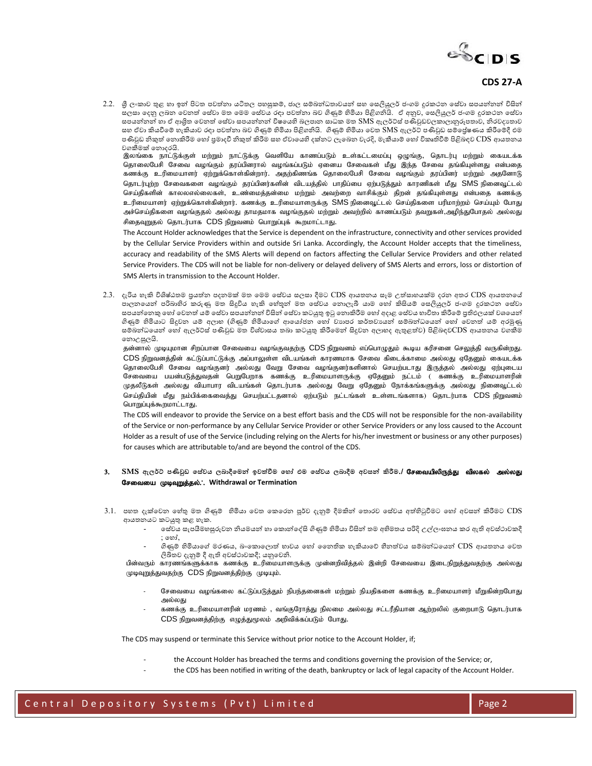

2.2. ශුී ලංකාව තුළ හා ඉන් පිටත පවත්නා යටිතල පහසුකම්, ජාල සම්බන්ධතාවයන් සහ සෙලියුලර් ජංගම දුරකථන ෂේවා සපයන්නන් විසින් සලසා දෙනු ලබන වෙනත් සේවා මත මෙම සේවය රඳා පවත්නා බව ගිණුම් හිමියා පිළිගනියි. ඒ අනුව, සෙලියුලර් ජංගම දුරකථන සේවා සපයන්නන් හා ඒ ආශිුත වෙනත් සේවා සපයන්නන් විෂයෙහි බලපාන සාධක මත SMS ඇලර්ට්ස් පණිවුඩවලකාලානුරූපතාව, නිරවදාතාව සහ ඒවා කියවීමේ හැකියාව රදා පවත්නා බව ගිණුම් හිමියා පිළිගනියි. ගිණුම් හිමියා වෙත SMS ඇලර්ට් පණිවුඩ සම්පේෂණය කිරීමේදී එම පණිවුඩ නිකුත් නොකිරීම හෝ පුමාදවී නිකුත් කිරීම සහ ඒවායෙහි දක්නට ලැබෙන වැරදි, මැකීයාම් හෝ විකෘතිවීම් පිළිබඳව CDS ආයතනය වනකීෙක් මනොදායි.

.<br>இலங்கை நாட்டுக்குள் மற்றும் நாட்டுக்கு வெளியே காணப்படும் உள்கட்டமைப்பு ஒழுங்கு, தொடர்பு மற்றும் கையடக்க தொலைபேசி சேவை வழங்கும் தரப்பினரால் வழங்கப்படும் ஏனைய சேவைகள் மீது இந்த சேவை தங்கியுள்ளது என்பதை கணக்கு உரிமையாளர் ஏற்றுக்கொள்கின்றார். அதற்கிணங்க தொலைபேசி சேவை வழங்கும் தரப்பினர் மற்றும் அதனோடு தொடர்புற்ற சேவைகளை வழங்கும் தரப்பினர்களின் விடயத்தில் பாதிப்பை ஏற்படுத்தும் காரணிகள் மீது SMS நினைவூட்டல் செய்திகளின் காலலஎல்லைகள், உண்மைத்தன்மை மற்றும் அவற்றை வாசிக்கும் திறன் தங்கியுள்ளது என்பதை கணக்கு <u>உ</u>ரிமையாளர் ஏற்றுக்கொள்கின்றார். கணக்கு உரிமையாளருக்கு SMS நினைவூட்டல் செய்திகளை பரிமாற்றம் செய்யும் போது அச்செய்திகளை வழங்குதல் அல்லது தாமதமாக வழங்குதல் மற்றும் அவற்றில் காணப்படும் தவறுகள்,அழிந்துபோதல் அல்லது சிதைவுறுதல் தொடர்பாக CDS நிறுவனம் பொறுப்புக் கூறமாட்டாது.

The Account Holder acknowledges that the Service is dependent on the infrastructure, connectivity and other services provided by the Cellular Service Providers within and outside Sri Lanka. Accordingly, the Account Holder accepts that the timeliness, accuracy and readability of the SMS Alerts will depend on factors affecting the Cellular Service Providers and other related Service Providers. The CDS will not be liable for non-delivery or delayed delivery of SMS Alerts and errors, loss or distortion of SMS Alerts in transmission to the Account Holder.

2.3. දැරිය හැකි විශිෂ්ඨතම පුයත්න පදනමක් මත මෙම සේවය සලසා දීමට CDS ආයතනය සෑම උත්සාහයක්ම දරන අතර CDS ආයතනයේ .<br>පාලනයෙන් පරිබාහිර කරුණු මත සිදුවිය හැකි හේතූන් මත සේවය නොලැබී යාම හෝ කිසියම් සෙලියුලර් ජංගම දුරකථන සේවා සපයන්නෙකු හෝ වෙනත් යම් සේවා සපයන්නන් විසින් සේවා කටයුතු ඉටු නොකිරීම හෝ අදාළ සේවය භාවිතා කිරීමේ පුතිඵලයක් වශයෙන් ගිණුම් හිමියාට ිනදුවන යම් අලාභ (ගිණුම් හිමියාමේ ආමයෝජන මහෝ වයාපා කර්තවයයන් ම්බන්ධමයන් මහෝ මවනත් යම් අාමුණු සම්බන්ධයෙන් හෝ ඇලර්ට්ස් පණිවුඩ මත විශ්වාසය තබා කටයුතු කිරීමෙන් සිදුවන අලාභද ඇතුළත්ව) පිළිබඳව $\rm CDS$  ආයතනය වගකීම මනොඋසුලයි.

தன்னால் முடியுமான சிறப்பான சேவையை வழங்குவதற்கு CDS நிறுவனம் எப்பொழுதும் கூடிய கரிசனை செலுத்தி வருகின்றது. CDS நிறுவனத்தின் கட்டுப்பாட்டுக்கு அப்பாலுள்ள விடயங்கள் காரணமாக சேவை கிடைக்காமை அல்லது ஏதேனும் கையடக்க தொலைபேசி சேவை வழங்குனர் அல்லது வேறு சேவை வழங்குனர்களினால் செயற்படாது இருத்தல் அல்லது ஏற்புடைய சேவையை பயன்படுத்துவதன் பெறுபேறாக கணக்கு உரிமையாளருக்கு ஏதேனும் நட்டம் ( கணக்கு உரிமையாளரின் முதலீடுகள் அல்லது வியாபார விடயங்கள் தொடர்பாக அல்லது வேறு ஏதேனும் நோக்கங்களுக்கு அல்லது நினைவூட்டல் செய்தியின் மீது நம்பிக்கைவைத்து செயற்பட்டதனால் ஏற்படும் நட்டங்கள் உள்ளடங்களாக) தொடர்பாக CDS நிறுவனம் பொறுப்புக்கூறமாட்டாது.

The CDS will endeavor to provide the Service on a best effort basis and the CDS will not be responsible for the non-availability of the Service or non-performance by any Cellular Service Provider or other Service Providers or any loss caused to the Account Holder as a result of use of the Service (including relying on the Alerts for his/her investment or business or any other purposes) for causes which are attributable to/and are beyond the control of the CDS.

- 3. SMS ඇලර්ට පණිවුඩ සේවය ලබාදීමෙන් ඉවත්වීම හෝ එම සේවය ලබාදීම අවසන් කිරීම.**/ சேவையிலிருந்து விலகல் அல்லது** சேவையை முடிவுறுத்தல்.: Withdrawal or Termination
- 3.1. පහත දැක්වෙන හේතු මත ගිණුම් හිමියා වෙත කෙරෙන පූර්ව දැනුම් දීමකින් තොරව සේවය අත්හිටුවීමට හෝ අවසන් කිරීමට  $CDS$ ආයතනයට කටයුතු කළ හැක.
	- ම ේවය ැපයීෙහසුරුවන නියෙයන් හා මකොන්මද්ින ගිණුම් හිමියා ිසිනන් තෙ අභිෙතය පරිදි උල්ලිංඝනය කා ඇති අව ්ථාවකදී ; මහෝ,
	- ගිණුම් හිමියාමේ ොයය, බිංමකොමලොත් භාවය මහෝ නනතික හැකියාමේ හීනත්වය ම්බන්ධමයන් CDS ආයතනය මවත ලිඛිතව දැනුම් දී ඇති අවස්ථාවකදී; යනුවෙනි.

பின்வரும் காரணங்களுக்காக கணக்கு உரிமையாளருக்கு முன்னறிவித்தல் இன்றி சேவையை இடைநிறுத்துவதற்கு அல்லது முடிவுறுத்துவதற்கு CDS நிறுவனத்திற்கு முடியும்.

- சேவையை வழங்கலை கட்டுப்படுத்தும் நிபந்தனைகள் மற்றும் நியதிகளை கணக்கு உரிமையாளர் மீறுகின்றபோது அல்லகு
- கணக்கு உரிமையாளரின் மரணம் , வங்குரோத்து நிலமை அல்லது சட்டரீதியான ஆற்றலில் குறைபாடு தொடர்பாக  $CDS$  நிறுவனத்திற்கு எழுத்துமூலம் அறிவிக்கப்படும் போது.

The CDS may suspend or terminate this Service without prior notice to the Account Holder, if;

- the Account Holder has breached the terms and conditions governing the provision of the Service; or,
- the CDS has been notified in writing of the death, bankruptcy or lack of legal capacity of the Account Holder.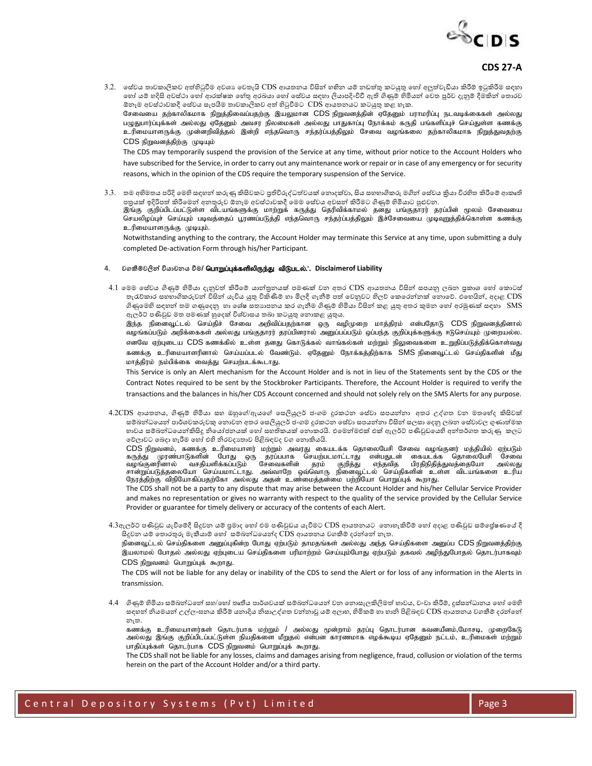

3.2. සේවය තාවකාලිකව අත්හිටුවීම අවශා වෙතැයි CDS ආයතනය විසින් හහින යම් නඩත්තු කටයුතු හෝ අලුත්වැඩියා කිරීම් ඉටුකිරීම සඳහා මහා් යම් හදිසි අවස්ථා හෝ ආරක්ෂක හේතු අරබයා හෝ සේවය සඳහා ලියාපදිංචිවී ඇති ගිණුම් හිමියන් වෙත පූර්ව දැනුම් දීමකින් තොරව ඕනෑම අවස්ථාවකදී සේවය සැපයීම තාවකාලිකව අත් හිටුවීමට CDS ආයතනයට කටයුතු කළ හැක. சேவையை தற்காலிகமாக நிறுத்திவைப்பதற்கு இயலுமான CDS நிறுவனத்தின் ஏதேனும் பராமரிப்பு நடவடிக்கைகள் அல்லது பழுதுபார்ப்புக்கள் அல்லது ஏதேனும் அவசர நிலமைகள் அல்லது பாதுகாப்பு நோக்கம் கருதி பங்களிப்புச் செய்துள்ள கணக்கு உரிமையாளருக்கு முன்னறிவித்தல் இன்றி எந்தவொரு சந்தர்ப்பத்திலும் சேவை வழங்கலை தற்காலிகமாக நிறுத்துவதற்கு CDS நிறுவனத்திற்கு முடியும் The CDS may temporarily suspend the provision of the Service at any time, without prior notice to the Account Holders who

have subscribed for the Service, in order to carry out any maintenance work or repair or in case of any emergency or for security reasons, which in the opinion of the CDS require the temporary suspension of the Service.

3.3. තම අභිමතය පරිදි මෙහි සඳහන් කරුණු කිසිවකට පුතිවිරුද්ධත්වයක් නොදක්වා, සිය සහභාගිකරු මගින් සේවය කුියා විරහිත කිරීමේ ආකෘති පනුයක් ඉදිරිපත් කිරීමෙන් අනතුරුව ඕනෑම අවස්ථාවකදී මෙම සේවය අවසන් කිරීමට ගිණුම් හිමියාට පුළුවන. இங்கு குறிப்பிடப்பட்டுள்ள விடயங்களுக்கு மாற்றுக் கருத்து தெரிவிக்காமல் தனது பங்குதாரர் தரப்பின் மூலம் சேவையை செயலிழப்புச் செய்யும் படிவத்தைப் பூரணப்படுத்தி எந்தவொரு சந்தர்ப்பத்திலும் இச்சேவையை முடிவுறுத்திக்கொள்ள கணக்கு

Notwithstanding anything to the contrary, the Account Holder may terminate this Service at any time, upon submitting a duly completed De-activation Form through his/her Participant.

#### $4.$  වගකීම්වලින් ව්යාචනය වීම/ **பொறுப்புக்களிலிருந்து விடுபடல்.`.** Disclaimerof Liability

உரிமையாளருக்கு முடியும்.

4.1 මෙම සේවය ගිණුම් හිමියා දැනුවත් කිරීමේ යාන්තුනයක් පමණක් වන අතර CDS ආයතනය විසින් සපයනු ලබන පුකාශ හෝ කොටස් තැරැව්කාර සහභාගිකරුවන් විසින් යැවිය යුතු විකිණීම් හා මිලදී ගැනීම් පත් වෙනුවට හිලව කෙරෙන්නක් නොවෙ. එහෙයින්, අදාළ CDS ගිණුමෙහි සඳහන් තම ගණුදෙනු හා ශේෂ සතාාපනය කර ගැනීම ගිණුම් හිමියා විසින් කළ යුතු අතර කුමන හෝ අරමුණක් සඳහා  $\rm\, SMS$ ඇලර්ට් පණිවුඩ මත පමණක් හුදෙක් විශ්වාසය තබා කටයුතු නොකළ යුතුය.

இந்த நினைவூட்டல் செய்திச் சேவை அறிவிப்பதற்கான ஒரு வழிமுறை மாத்திரம் என்பதோடு CDS நிறுவனத்தினால் வழங்கப்படும் அறிக்கைகள் அல்லது பங்குதாரர் தரப்பினரால் அனுப்பப்படும் ஒப்பந்த குறிப்புக்களுக்கு ஈடுசெய்யும் முறையல்ல. எனவே ஏற்புடைய CDS கணக்கில் உள்ள தனது கொடுக்கல் வாங்கல்கள் மற்றும் நிலுவைகளை உறுதிப்படுத்திக்கொள்வது கணக்கு உரிமையாளரினால் செய்யப்படல் வேண்டும். ஏதேனும் நோக்கத்திற்காக SMS நினைவுட்டல் செய்திகளின் மீது மாத்திரம் நம்பிக்கை வைத்து செயற்படக்கூடாது.

This Service is only an Alert mechanism for the Account Holder and is not in lieu of the Statements sent by the CDS or the Contract Notes required to be sent by the Stockbroker Participants. Therefore, the Account Holder is required to verify the transactions and the balances in his/her CDS Account concerned and should not solely rely on the SMS Alerts for any purpose.

 $4.2 \text{CDS}$  ආයතනය, ගිණුම් හිමියා සහ ඔහුගේ/ඇයගේ සෙලියුලර් ජංගම දුරකථන සේවා සපයන්නා අතර උද්ගත වන මතභේද කිසිවක් සම්බන්ධයෙන් පාර්ශවකරුවකු නොවන අතර සෙලියුලර් ජංගම දුරකථන සේවා සපයන්නා විසින් සලසා දෙනු ලබන සේවාවල ගුණාත්මක භාවය සම්බන්ධයෙන්කිසිදු නියෝජනයක් හෝ සහතිකයක් නොකරයි. එමෙන්මඑක් එක් ඇලර්ට් පණිවුඩයෙහි අන්තර්ගත කරුණු කලට මේලාවට මබදා හැරීෙ මහෝ එහි නිාවදයතාව පිළිබාවද වන මනොකියයි.

 $CDS$  நிறுவனம், கணக்கு உரிமையாளர் மற்றும் அவரது கையடக்க தொலைபேசி சேவை வழங்குனர் மத்தியில் ஏற்படும் கருத்து முரண்பாடுகளின் போது ஒரு தரப்பபாக செயற்படமாட்டாது என்பதுடன் கையடக்க தொலைபேசி சேவை வழங்குனரினால் வசதியளிக்கப்படும் சேவைகளின் தரம் குறித்து எந்தவித பிரதிநிதித்துவத்தையோ அல்லது rhd;Wg;gLj;jiyNah nra;akhl;lhJ. mt;thNw xt;nthU epidt+l;ly; nra;jpfspd; cs;s tplaq ;fis cupa நேரத்திற்கு விநியோகிப்பதற்கோ அல்லது அதன் உண்மைத்தன்மை பற்றியோ பொறுப்புக் கூறாது.

The CDS shall not be a party to any dispute that may arise between the Account Holder and his/her Cellular Service Provider and makes no representation or gives no warranty with respect to the quality of the service provided by the Cellular Service Provider or guarantee for timely delivery or accuracy of the contents of each Alert.

4.3ඇලර්ට් පණිවුඩ යැවීමේදී සිදුවන යම් පුමාද හෝ එම පණිවුඩය යැවීමට CDS ආයතනයට නොහැකිවීම් හෝ අදාළ පණිවුඩ සම්පේෂණයේ දී ිනදුවන යම් මතොාතුරු ෙැකීයාම් මහෝ ම්බන්ධමයන්ද CDS ආයතනය වනකීම් දාන්මන් නැත.

நினைவூட்டல் செய்திகளை அனுப்புகின்ற போது ஏற்படும் தாமதங்கள் அல்லது அந்த செய்திகளை அனுப்ப CDS நிறுவனத்திற்கு இயலாமல் போதல் அல்லது ஏற்புடைய செய்திகளை பரிமாற்றம் செய்யும்போது ஏற்படும் தகவல் அழிந்துபோதல் தொடர்பாகவும்  $CDS$  நிறுவனம் பொறுப்புக் கூறாது.

The CDS will not be liable for any delay or inability of the CDS to send the Alert or for loss of any information in the Alerts in transmission.

4.4 ගිණුම් හිමියා සම්බන්ධනේ සහ/හෝ තෘතීය පාර්ශවයක් සම්බන්ධයෙන් වන නොසැලකිලිමත් භාවය, වංචා කිරීම්, දුස්සන්ධානය හෝ මෙහි සඳහන් නියමයන් උල්ලංඝනය කිරීම් යනාදිය නිසාඋද්ගත වන්නාවූ යම් අලාභ, හිමිකම් හා හානි පිළිබඳව CDS ආයතනය වගකීම් දරන්නේ නැත.

கணக்கு உரிமையாளர்கள் தொடர்பாக மற்றும் / அல்லது மூன்றாம் தரப்பு தொடர்பான கவனயீனம்,மோசடி, முறைகேடு அல்லது இங்கு குறிப்பிடப்பட்டுள்ள நியதிகளை மீறுதல் என்பன காரணமாக எழக்கூடிய ஏதேனும் நட்டம், உரிமைகள் மற்றும் பாதிப்புக்கள் தொடர்பாக CDS நிறுவனம் பொறுப்புக் கூறாது.

The CDS shall not be liable for any losses, claims and damages arising from negligence, fraud, collusion or violation of the terms herein on the part of the Account Holder and/or a third party.